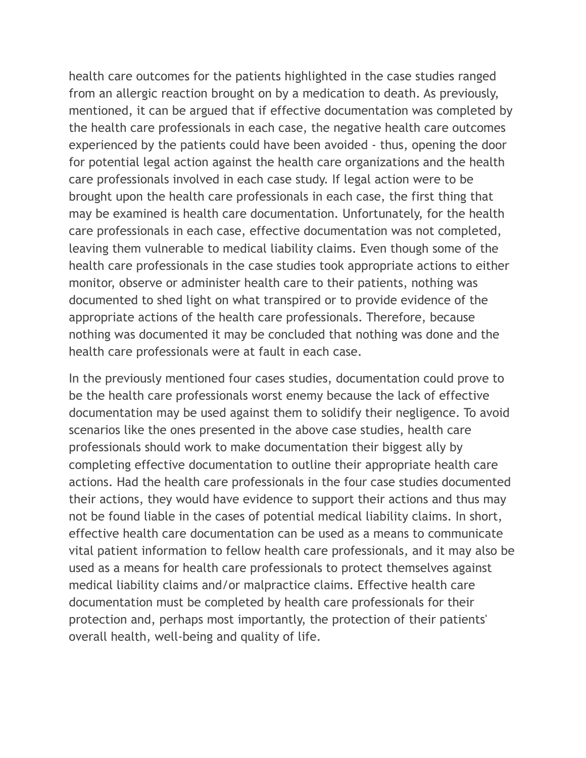health care outcomes for the patients highlighted in the case studies ranged from an allergic reaction brought on by a medication to death. As previously, mentioned, it can be argued that if effective documentation was completed by the health care professionals in each case, the negative health care outcomes experienced by the patients could have been avoided - thus, opening the door for potential legal action against the health care organizations and the health care professionals involved in each case study. If legal action were to be brought upon the health care professionals in each case, the first thing that may be examined is health care documentation. Unfortunately, for the health care professionals in each case, effective documentation was not completed, leaving them vulnerable to medical liability claims. Even though some of the health care professionals in the case studies took appropriate actions to either monitor, observe or administer health care to their patients, nothing was documented to shed light on what transpired or to provide evidence of the appropriate actions of the health care professionals. Therefore, because nothing was documented it may be concluded that nothing was done and the health care professionals were at fault in each case.

In the previously mentioned four cases studies, documentation could prove to be the health care professionals worst enemy because the lack of effective documentation may be used against them to solidify their negligence. To avoid scenarios like the ones presented in the above case studies, health care professionals should work to make documentation their biggest ally by completing effective documentation to outline their appropriate health care actions. Had the health care professionals in the four case studies documented their actions, they would have evidence to support their actions and thus may not be found liable in the cases of potential medical liability claims. In short, effective health care documentation can be used as a means to communicate vital patient information to fellow health care professionals, and it may also be used as a means for health care professionals to protect themselves against medical liability claims and/or malpractice claims. Effective health care documentation must be completed by health care professionals for their protection and, perhaps most importantly, the protection of their patients' overall health, well-being and quality of life.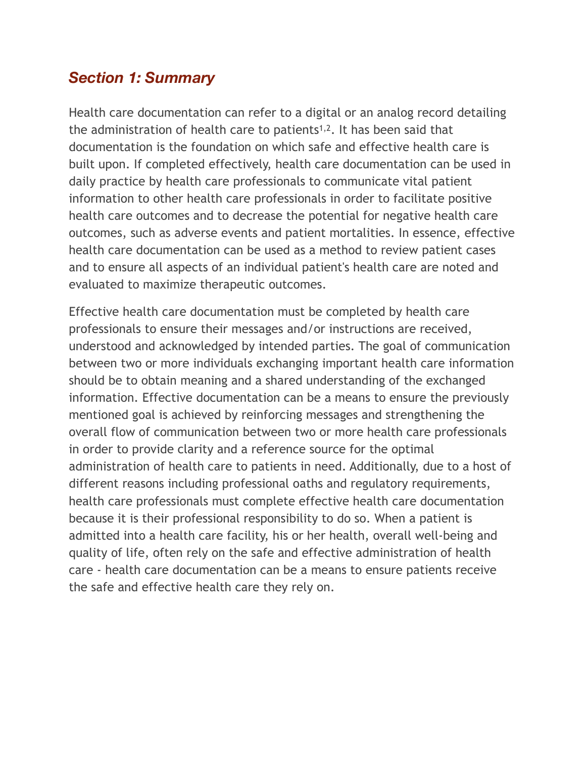#### *Section 1: Summary*

Health care documentation can refer to a digital or an analog record detailing the administration of health care to patients1,2. It has been said that documentation is the foundation on which safe and effective health care is built upon. If completed effectively, health care documentation can be used in daily practice by health care professionals to communicate vital patient information to other health care professionals in order to facilitate positive health care outcomes and to decrease the potential for negative health care outcomes, such as adverse events and patient mortalities. In essence, effective health care documentation can be used as a method to review patient cases and to ensure all aspects of an individual patient's health care are noted and evaluated to maximize therapeutic outcomes.

Effective health care documentation must be completed by health care professionals to ensure their messages and/or instructions are received, understood and acknowledged by intended parties. The goal of communication between two or more individuals exchanging important health care information should be to obtain meaning and a shared understanding of the exchanged information. Effective documentation can be a means to ensure the previously mentioned goal is achieved by reinforcing messages and strengthening the overall flow of communication between two or more health care professionals in order to provide clarity and a reference source for the optimal administration of health care to patients in need. Additionally, due to a host of different reasons including professional oaths and regulatory requirements, health care professionals must complete effective health care documentation because it is their professional responsibility to do so. When a patient is admitted into a health care facility, his or her health, overall well-being and quality of life, often rely on the safe and effective administration of health care - health care documentation can be a means to ensure patients receive the safe and effective health care they rely on.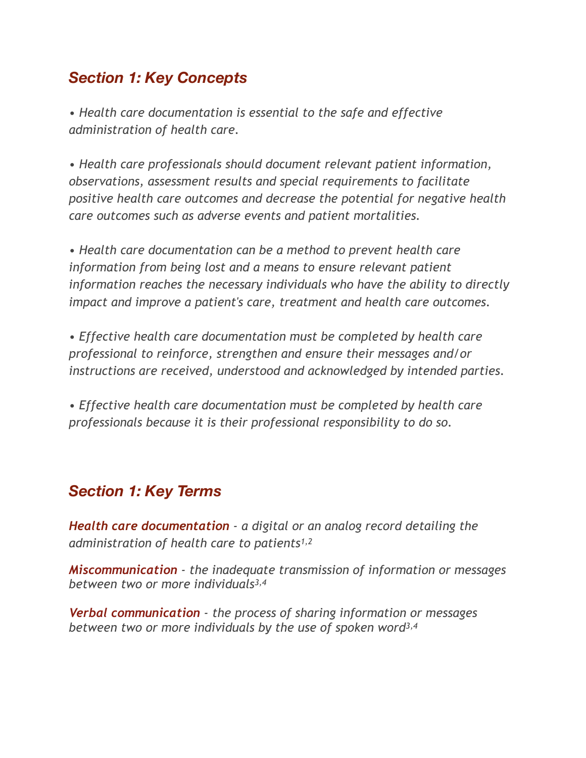#### *Section 1: Key Concepts*

*• Health care documentation is essential to the safe and effective administration of health care.* 

*• Health care professionals should document relevant patient information, observations, assessment results and special requirements to facilitate positive health care outcomes and decrease the potential for negative health care outcomes such as adverse events and patient mortalities.* 

*• Health care documentation can be a method to prevent health care information from being lost and a means to ensure relevant patient information reaches the necessary individuals who have the ability to directly impact and improve a patient's care, treatment and health care outcomes.* 

*• Effective health care documentation must be completed by health care professional to reinforce, strengthen and ensure their messages and/or instructions are received, understood and acknowledged by intended parties.* 

*• Effective health care documentation must be completed by health care professionals because it is their professional responsibility to do so.* 

#### *Section 1: Key Terms*

*Health care documentation - a digital or an analog record detailing the administration of health care to patients1,2*

*Miscommunication - the inadequate transmission of information or messages between two or more individuals3,4*

*Verbal communication - the process of sharing information or messages between two or more individuals by the use of spoken word3,4*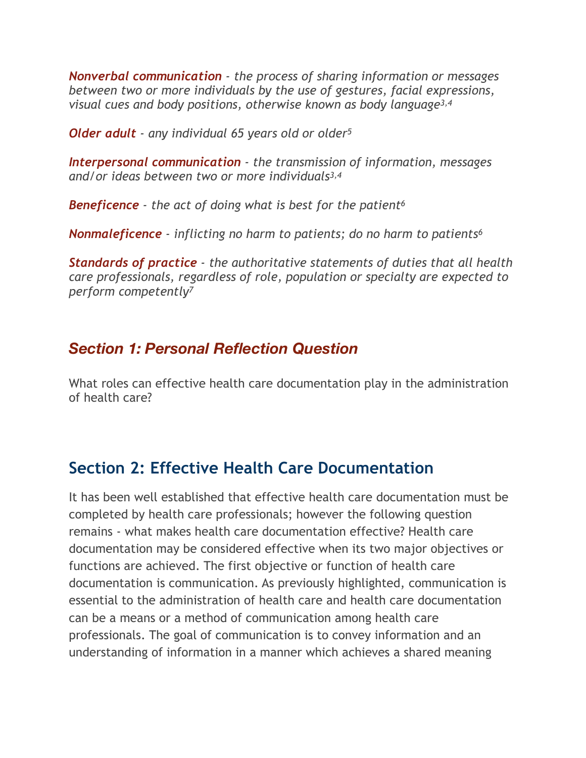*Nonverbal communication - the process of sharing information or messages between two or more individuals by the use of gestures, facial expressions, visual cues and body positions, otherwise known as body language3,4*

*Older adult - any individual 65 years old or older5*

*Interpersonal communication - the transmission of information, messages and/or ideas between two or more individuals3,4*

*Beneficence - the act of doing what is best for the patient6* 

*Nonmaleficence - inflicting no harm to patients; do no harm to patients6*

*Standards of practice - the authoritative statements of duties that all health care professionals, regardless of role, population or specialty are expected to perform competently7* 

**S. Com** 

#### *Section 1: Personal Reflection Question*

What roles can effective health care documentation play in the administration of health care?

# **Section 2: Effective Health Care Documentation**

It has been well established that effective health care documentation must be completed by health care professionals; however the following question remains - what makes health care documentation effective? Health care documentation may be considered effective when its two major objectives or functions are achieved. The first objective or function of health care documentation is communication. As previously highlighted, communication is essential to the administration of health care and health care documentation can be a means or a method of communication among health care professionals. The goal of communication is to convey information and an understanding of information in a manner which achieves a shared meaning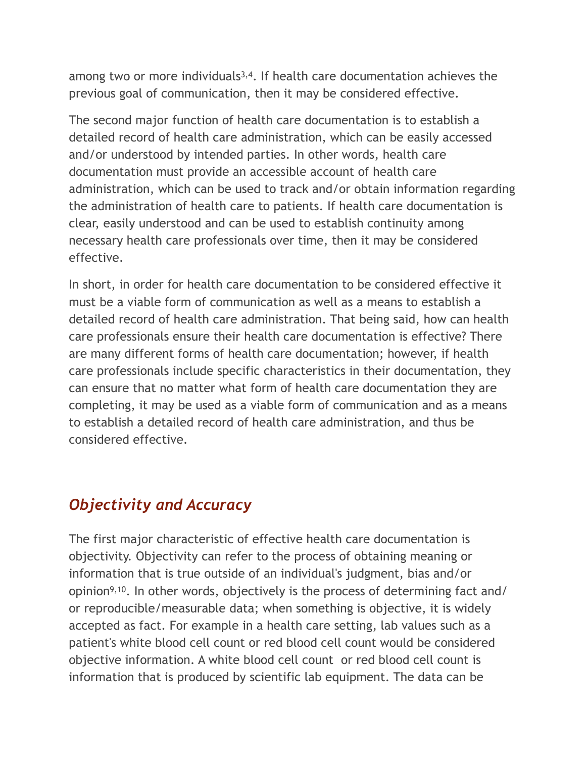among two or more individuals<sup>3,4</sup>. If health care documentation achieves the previous goal of communication, then it may be considered effective.

The second major function of health care documentation is to establish a detailed record of health care administration, which can be easily accessed and/or understood by intended parties. In other words, health care documentation must provide an accessible account of health care administration, which can be used to track and/or obtain information regarding the administration of health care to patients. If health care documentation is clear, easily understood and can be used to establish continuity among necessary health care professionals over time, then it may be considered effective.

In short, in order for health care documentation to be considered effective it must be a viable form of communication as well as a means to establish a detailed record of health care administration. That being said, how can health care professionals ensure their health care documentation is effective? There are many different forms of health care documentation; however, if health care professionals include specific characteristics in their documentation, they can ensure that no matter what form of health care documentation they are completing, it may be used as a viable form of communication and as a means to establish a detailed record of health care administration, and thus be considered effective.

# *Objectivity and Accuracy*

The first major characteristic of effective health care documentation is objectivity. Objectivity can refer to the process of obtaining meaning or information that is true outside of an individual's judgment, bias and/or opinion9,10. In other words, objectively is the process of determining fact and/ or reproducible/measurable data; when something is objective, it is widely accepted as fact. For example in a health care setting, lab values such as a patient's white blood cell count or red blood cell count would be considered objective information. A white blood cell count or red blood cell count is information that is produced by scientific lab equipment. The data can be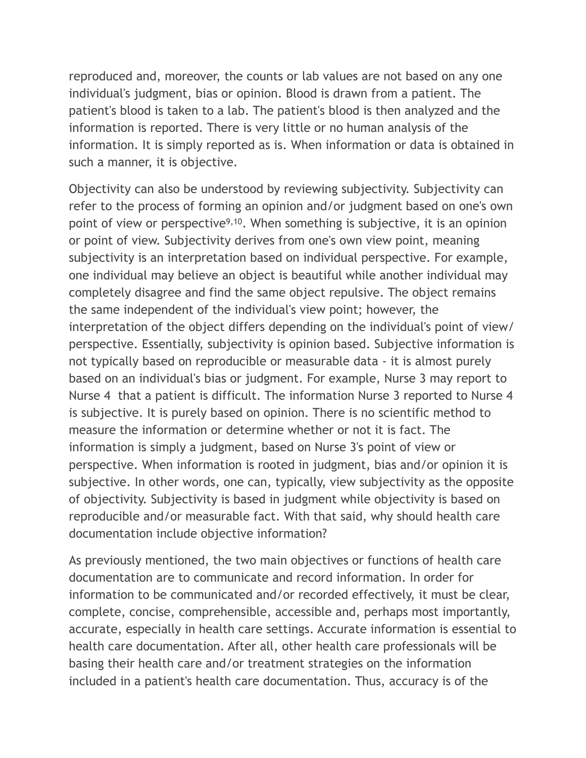reproduced and, moreover, the counts or lab values are not based on any one individual's judgment, bias or opinion. Blood is drawn from a patient. The patient's blood is taken to a lab. The patient's blood is then analyzed and the information is reported. There is very little or no human analysis of the information. It is simply reported as is. When information or data is obtained in such a manner, it is objective.

Objectivity can also be understood by reviewing subjectivity. Subjectivity can refer to the process of forming an opinion and/or judgment based on one's own point of view or perspective<sup>9,10</sup>. When something is subjective, it is an opinion or point of view. Subjectivity derives from one's own view point, meaning subjectivity is an interpretation based on individual perspective. For example, one individual may believe an object is beautiful while another individual may completely disagree and find the same object repulsive. The object remains the same independent of the individual's view point; however, the interpretation of the object differs depending on the individual's point of view/ perspective. Essentially, subjectivity is opinion based. Subjective information is not typically based on reproducible or measurable data - it is almost purely based on an individual's bias or judgment. For example, Nurse 3 may report to Nurse 4 that a patient is difficult. The information Nurse 3 reported to Nurse 4 is subjective. It is purely based on opinion. There is no scientific method to measure the information or determine whether or not it is fact. The information is simply a judgment, based on Nurse 3's point of view or perspective. When information is rooted in judgment, bias and/or opinion it is subjective. In other words, one can, typically, view subjectivity as the opposite of objectivity. Subjectivity is based in judgment while objectivity is based on reproducible and/or measurable fact. With that said, why should health care documentation include objective information?

As previously mentioned, the two main objectives or functions of health care documentation are to communicate and record information. In order for information to be communicated and/or recorded effectively, it must be clear, complete, concise, comprehensible, accessible and, perhaps most importantly, accurate, especially in health care settings. Accurate information is essential to health care documentation. After all, other health care professionals will be basing their health care and/or treatment strategies on the information included in a patient's health care documentation. Thus, accuracy is of the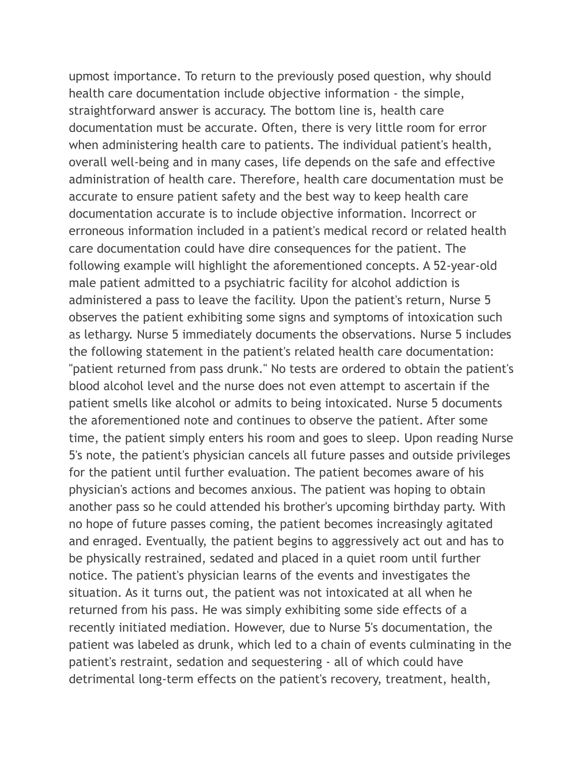upmost importance. To return to the previously posed question, why should health care documentation include objective information - the simple, straightforward answer is accuracy. The bottom line is, health care documentation must be accurate. Often, there is very little room for error when administering health care to patients. The individual patient's health, overall well-being and in many cases, life depends on the safe and effective administration of health care. Therefore, health care documentation must be accurate to ensure patient safety and the best way to keep health care documentation accurate is to include objective information. Incorrect or erroneous information included in a patient's medical record or related health care documentation could have dire consequences for the patient. The following example will highlight the aforementioned concepts. A 52-year-old male patient admitted to a psychiatric facility for alcohol addiction is administered a pass to leave the facility. Upon the patient's return, Nurse 5 observes the patient exhibiting some signs and symptoms of intoxication such as lethargy. Nurse 5 immediately documents the observations. Nurse 5 includes the following statement in the patient's related health care documentation: "patient returned from pass drunk." No tests are ordered to obtain the patient's blood alcohol level and the nurse does not even attempt to ascertain if the patient smells like alcohol or admits to being intoxicated. Nurse 5 documents the aforementioned note and continues to observe the patient. After some time, the patient simply enters his room and goes to sleep. Upon reading Nurse 5's note, the patient's physician cancels all future passes and outside privileges for the patient until further evaluation. The patient becomes aware of his physician's actions and becomes anxious. The patient was hoping to obtain another pass so he could attended his brother's upcoming birthday party. With no hope of future passes coming, the patient becomes increasingly agitated and enraged. Eventually, the patient begins to aggressively act out and has to be physically restrained, sedated and placed in a quiet room until further notice. The patient's physician learns of the events and investigates the situation. As it turns out, the patient was not intoxicated at all when he returned from his pass. He was simply exhibiting some side effects of a recently initiated mediation. However, due to Nurse 5's documentation, the patient was labeled as drunk, which led to a chain of events culminating in the patient's restraint, sedation and sequestering - all of which could have detrimental long-term effects on the patient's recovery, treatment, health,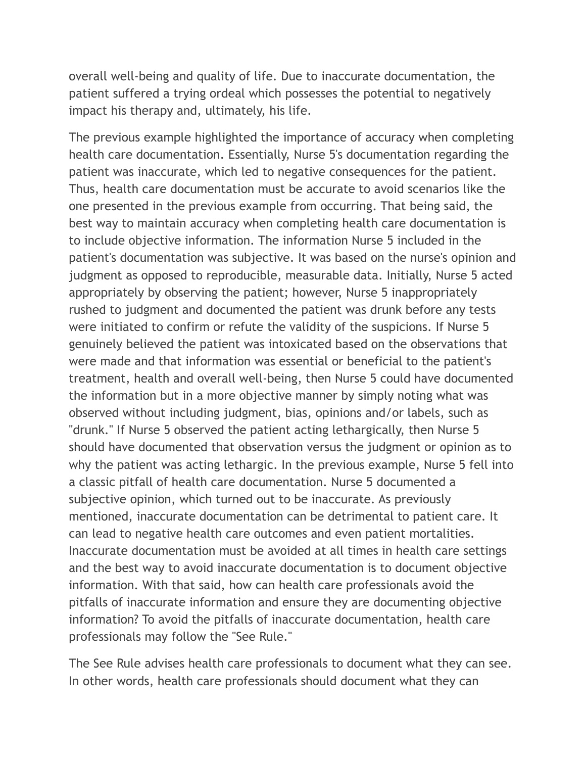overall well-being and quality of life. Due to inaccurate documentation, the patient suffered a trying ordeal which possesses the potential to negatively impact his therapy and, ultimately, his life.

The previous example highlighted the importance of accuracy when completing health care documentation. Essentially, Nurse 5's documentation regarding the patient was inaccurate, which led to negative consequences for the patient. Thus, health care documentation must be accurate to avoid scenarios like the one presented in the previous example from occurring. That being said, the best way to maintain accuracy when completing health care documentation is to include objective information. The information Nurse 5 included in the patient's documentation was subjective. It was based on the nurse's opinion and judgment as opposed to reproducible, measurable data. Initially, Nurse 5 acted appropriately by observing the patient; however, Nurse 5 inappropriately rushed to judgment and documented the patient was drunk before any tests were initiated to confirm or refute the validity of the suspicions. If Nurse 5 genuinely believed the patient was intoxicated based on the observations that were made and that information was essential or beneficial to the patient's treatment, health and overall well-being, then Nurse 5 could have documented the information but in a more objective manner by simply noting what was observed without including judgment, bias, opinions and/or labels, such as "drunk." If Nurse 5 observed the patient acting lethargically, then Nurse 5 should have documented that observation versus the judgment or opinion as to why the patient was acting lethargic. In the previous example, Nurse 5 fell into a classic pitfall of health care documentation. Nurse 5 documented a subjective opinion, which turned out to be inaccurate. As previously mentioned, inaccurate documentation can be detrimental to patient care. It can lead to negative health care outcomes and even patient mortalities. Inaccurate documentation must be avoided at all times in health care settings and the best way to avoid inaccurate documentation is to document objective information. With that said, how can health care professionals avoid the pitfalls of inaccurate information and ensure they are documenting objective information? To avoid the pitfalls of inaccurate documentation, health care professionals may follow the "See Rule."

The See Rule advises health care professionals to document what they can see. In other words, health care professionals should document what they can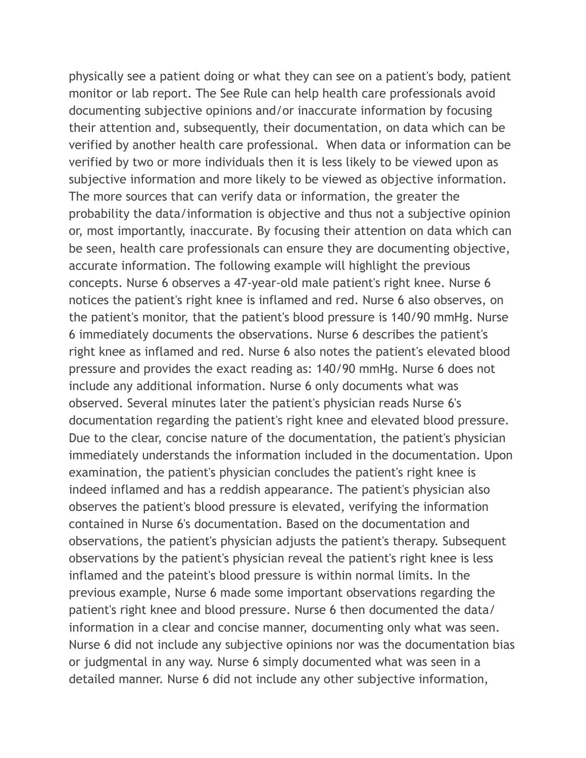physically see a patient doing or what they can see on a patient's body, patient monitor or lab report. The See Rule can help health care professionals avoid documenting subjective opinions and/or inaccurate information by focusing their attention and, subsequently, their documentation, on data which can be verified by another health care professional. When data or information can be verified by two or more individuals then it is less likely to be viewed upon as subjective information and more likely to be viewed as objective information. The more sources that can verify data or information, the greater the probability the data/information is objective and thus not a subjective opinion or, most importantly, inaccurate. By focusing their attention on data which can be seen, health care professionals can ensure they are documenting objective, accurate information. The following example will highlight the previous concepts. Nurse 6 observes a 47-year-old male patient's right knee. Nurse 6 notices the patient's right knee is inflamed and red. Nurse 6 also observes, on the patient's monitor, that the patient's blood pressure is 140/90 mmHg. Nurse 6 immediately documents the observations. Nurse 6 describes the patient's right knee as inflamed and red. Nurse 6 also notes the patient's elevated blood pressure and provides the exact reading as: 140/90 mmHg. Nurse 6 does not include any additional information. Nurse 6 only documents what was observed. Several minutes later the patient's physician reads Nurse 6's documentation regarding the patient's right knee and elevated blood pressure. Due to the clear, concise nature of the documentation, the patient's physician immediately understands the information included in the documentation. Upon examination, the patient's physician concludes the patient's right knee is indeed inflamed and has a reddish appearance. The patient's physician also observes the patient's blood pressure is elevated, verifying the information contained in Nurse 6's documentation. Based on the documentation and observations, the patient's physician adjusts the patient's therapy. Subsequent observations by the patient's physician reveal the patient's right knee is less inflamed and the pateint's blood pressure is within normal limits. In the previous example, Nurse 6 made some important observations regarding the patient's right knee and blood pressure. Nurse 6 then documented the data/ information in a clear and concise manner, documenting only what was seen. Nurse 6 did not include any subjective opinions nor was the documentation bias or judgmental in any way. Nurse 6 simply documented what was seen in a detailed manner. Nurse 6 did not include any other subjective information,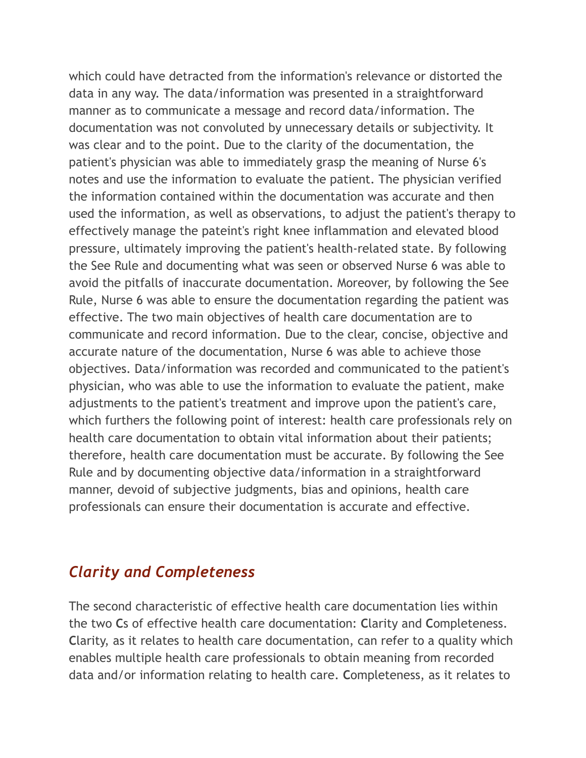which could have detracted from the information's relevance or distorted the data in any way. The data/information was presented in a straightforward manner as to communicate a message and record data/information. The documentation was not convoluted by unnecessary details or subjectivity. It was clear and to the point. Due to the clarity of the documentation, the patient's physician was able to immediately grasp the meaning of Nurse 6's notes and use the information to evaluate the patient. The physician verified the information contained within the documentation was accurate and then used the information, as well as observations, to adjust the patient's therapy to effectively manage the pateint's right knee inflammation and elevated blood pressure, ultimately improving the patient's health-related state. By following the See Rule and documenting what was seen or observed Nurse 6 was able to avoid the pitfalls of inaccurate documentation. Moreover, by following the See Rule, Nurse 6 was able to ensure the documentation regarding the patient was effective. The two main objectives of health care documentation are to communicate and record information. Due to the clear, concise, objective and accurate nature of the documentation, Nurse 6 was able to achieve those objectives. Data/information was recorded and communicated to the patient's physician, who was able to use the information to evaluate the patient, make adjustments to the patient's treatment and improve upon the patient's care, which furthers the following point of interest: health care professionals rely on health care documentation to obtain vital information about their patients; therefore, health care documentation must be accurate. By following the See Rule and by documenting objective data/information in a straightforward manner, devoid of subjective judgments, bias and opinions, health care professionals can ensure their documentation is accurate and effective.

#### *Clarity and Completeness*

The second characteristic of effective health care documentation lies within the two **C**s of effective health care documentation: **C**larity and **C**ompleteness. **C**larity, as it relates to health care documentation, can refer to a quality which enables multiple health care professionals to obtain meaning from recorded data and/or information relating to health care. **C**ompleteness, as it relates to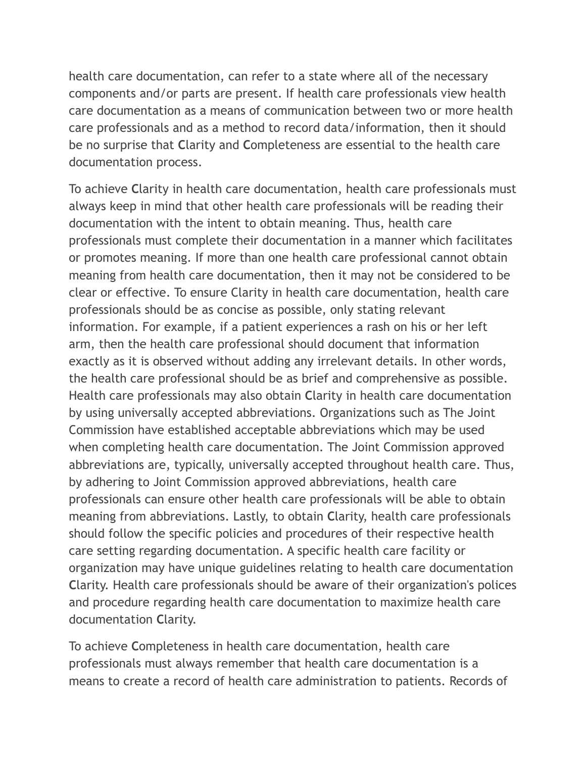health care documentation, can refer to a state where all of the necessary components and/or parts are present. If health care professionals view health care documentation as a means of communication between two or more health care professionals and as a method to record data/information, then it should be no surprise that **C**larity and **C**ompleteness are essential to the health care documentation process.

To achieve **C**larity in health care documentation, health care professionals must always keep in mind that other health care professionals will be reading their documentation with the intent to obtain meaning. Thus, health care professionals must complete their documentation in a manner which facilitates or promotes meaning. If more than one health care professional cannot obtain meaning from health care documentation, then it may not be considered to be clear or effective. To ensure Clarity in health care documentation, health care professionals should be as concise as possible, only stating relevant information. For example, if a patient experiences a rash on his or her left arm, then the health care professional should document that information exactly as it is observed without adding any irrelevant details. In other words, the health care professional should be as brief and comprehensive as possible. Health care professionals may also obtain **C**larity in health care documentation by using universally accepted abbreviations. Organizations such as The Joint Commission have established acceptable abbreviations which may be used when completing health care documentation. The Joint Commission approved abbreviations are, typically, universally accepted throughout health care. Thus, by adhering to Joint Commission approved abbreviations, health care professionals can ensure other health care professionals will be able to obtain meaning from abbreviations. Lastly, to obtain **C**larity, health care professionals should follow the specific policies and procedures of their respective health care setting regarding documentation. A specific health care facility or organization may have unique guidelines relating to health care documentation **C**larity. Health care professionals should be aware of their organization's polices and procedure regarding health care documentation to maximize health care documentation **C**larity.

To achieve **C**ompleteness in health care documentation, health care professionals must always remember that health care documentation is a means to create a record of health care administration to patients. Records of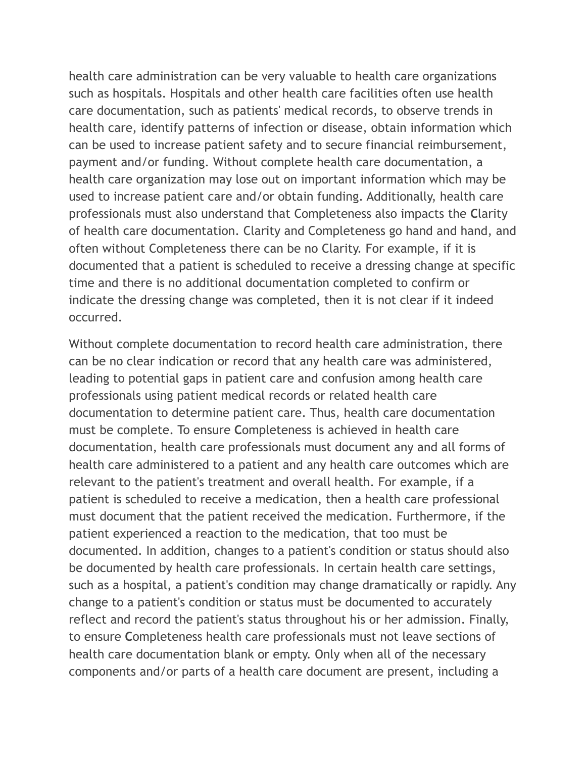health care administration can be very valuable to health care organizations such as hospitals. Hospitals and other health care facilities often use health care documentation, such as patients' medical records, to observe trends in health care, identify patterns of infection or disease, obtain information which can be used to increase patient safety and to secure financial reimbursement, payment and/or funding. Without complete health care documentation, a health care organization may lose out on important information which may be used to increase patient care and/or obtain funding. Additionally, health care professionals must also understand that Completeness also impacts the **C**larity of health care documentation. Clarity and Completeness go hand and hand, and often without Completeness there can be no Clarity. For example, if it is documented that a patient is scheduled to receive a dressing change at specific time and there is no additional documentation completed to confirm or indicate the dressing change was completed, then it is not clear if it indeed occurred.

Without complete documentation to record health care administration, there can be no clear indication or record that any health care was administered, leading to potential gaps in patient care and confusion among health care professionals using patient medical records or related health care documentation to determine patient care. Thus, health care documentation must be complete. To ensure **C**ompleteness is achieved in health care documentation, health care professionals must document any and all forms of health care administered to a patient and any health care outcomes which are relevant to the patient's treatment and overall health. For example, if a patient is scheduled to receive a medication, then a health care professional must document that the patient received the medication. Furthermore, if the patient experienced a reaction to the medication, that too must be documented. In addition, changes to a patient's condition or status should also be documented by health care professionals. In certain health care settings, such as a hospital, a patient's condition may change dramatically or rapidly. Any change to a patient's condition or status must be documented to accurately reflect and record the patient's status throughout his or her admission. Finally, to ensure **C**ompleteness health care professionals must not leave sections of health care documentation blank or empty. Only when all of the necessary components and/or parts of a health care document are present, including a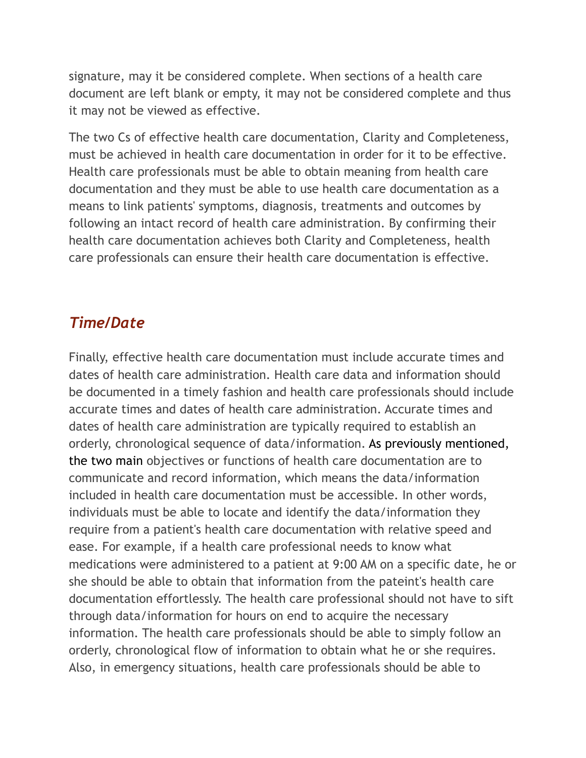signature, may it be considered complete. When sections of a health care document are left blank or empty, it may not be considered complete and thus it may not be viewed as effective.

The two Cs of effective health care documentation, Clarity and Completeness, must be achieved in health care documentation in order for it to be effective. Health care professionals must be able to obtain meaning from health care documentation and they must be able to use health care documentation as a means to link patients' symptoms, diagnosis, treatments and outcomes by following an intact record of health care administration. By confirming their health care documentation achieves both Clarity and Completeness, health care professionals can ensure their health care documentation is effective.

C. com

#### *Time/Date*

Finally, effective health care documentation must include accurate times and dates of health care administration. Health care data and information should be documented in a timely fashion and health care professionals should include accurate times and dates of health care administration. Accurate times and dates of health care administration are typically required to establish an orderly, chronological sequence of data/information. As previously mentioned, the two main objectives or functions of health care documentation are to communicate and record information, which means the data/information included in health care documentation must be accessible. In other words, individuals must be able to locate and identify the data/information they require from a patient's health care documentation with relative speed and ease. For example, if a health care professional needs to know what medications were administered to a patient at 9:00 AM on a specific date, he or she should be able to obtain that information from the pateint's health care documentation effortlessly. The health care professional should not have to sift through data/information for hours on end to acquire the necessary information. The health care professionals should be able to simply follow an orderly, chronological flow of information to obtain what he or she requires. Also, in emergency situations, health care professionals should be able to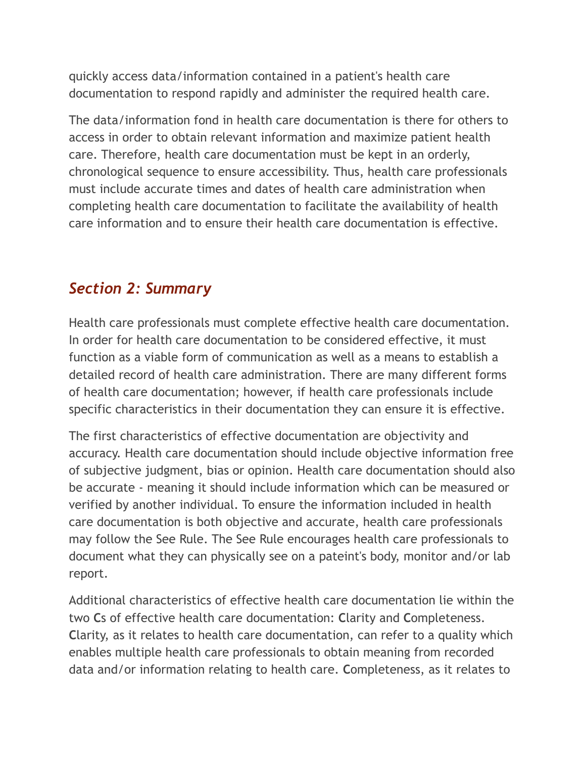quickly access data/information contained in a patient's health care documentation to respond rapidly and administer the required health care.

The data/information fond in health care documentation is there for others to access in order to obtain relevant information and maximize patient health care. Therefore, health care documentation must be kept in an orderly, chronological sequence to ensure accessibility. Thus, health care professionals must include accurate times and dates of health care administration when completing health care documentation to facilitate the availability of health care information and to ensure their health care documentation is effective.

### *Section 2: Summary*

Health care professionals must complete effective health care documentation. In order for health care documentation to be considered effective, it must function as a viable form of communication as well as a means to establish a detailed record of health care administration. There are many different forms of health care documentation; however, if health care professionals include specific characteristics in their documentation they can ensure it is effective.

The first characteristics of effective documentation are objectivity and accuracy. Health care documentation should include objective information free of subjective judgment, bias or opinion. Health care documentation should also be accurate - meaning it should include information which can be measured or verified by another individual. To ensure the information included in health care documentation is both objective and accurate, health care professionals may follow the See Rule. The See Rule encourages health care professionals to document what they can physically see on a pateint's body, monitor and/or lab report.

Additional characteristics of effective health care documentation lie within the two **C**s of effective health care documentation: **C**larity and **C**ompleteness. **C**larity, as it relates to health care documentation, can refer to a quality which enables multiple health care professionals to obtain meaning from recorded data and/or information relating to health care. **C**ompleteness, as it relates to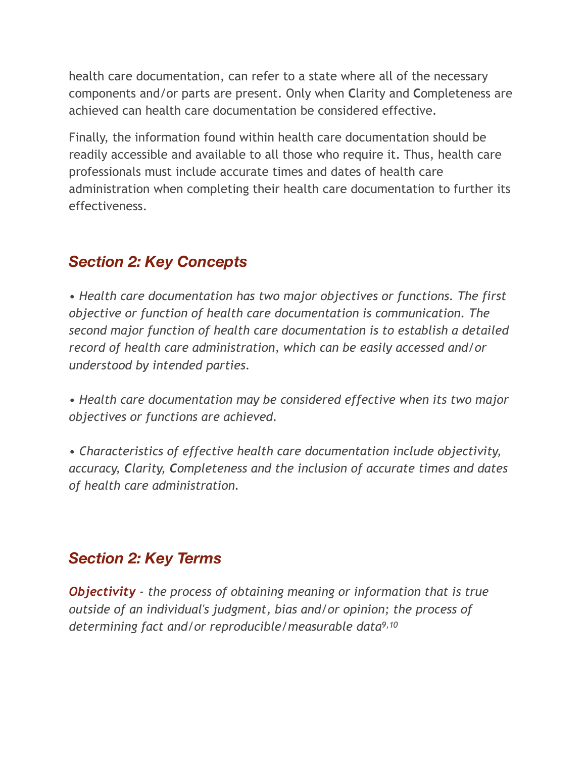health care documentation, can refer to a state where all of the necessary components and/or parts are present. Only when **C**larity and **C**ompleteness are achieved can health care documentation be considered effective.

Finally, the information found within health care documentation should be readily accessible and available to all those who require it. Thus, health care professionals must include accurate times and dates of health care administration when completing their health care documentation to further its effectiveness.

# *Section 2: Key Concepts*

*• Health care documentation has two major objectives or functions. The first objective or function of health care documentation is communication. The second major function of health care documentation is to establish a detailed record of health care administration, which can be easily accessed and/or understood by intended parties.* 

*• Health care documentation may be considered effective when its two major objectives or functions are achieved.* 

*• Characteristics of effective health care documentation include objectivity, accuracy, Clarity, Completeness and the inclusion of accurate times and dates of health care administration.* 

### *Section 2: Key Terms*

*Objectivity - the process of obtaining meaning or information that is true outside of an individual's judgment, bias and/or opinion; the process of determining fact and/or reproducible/measurable data9,10*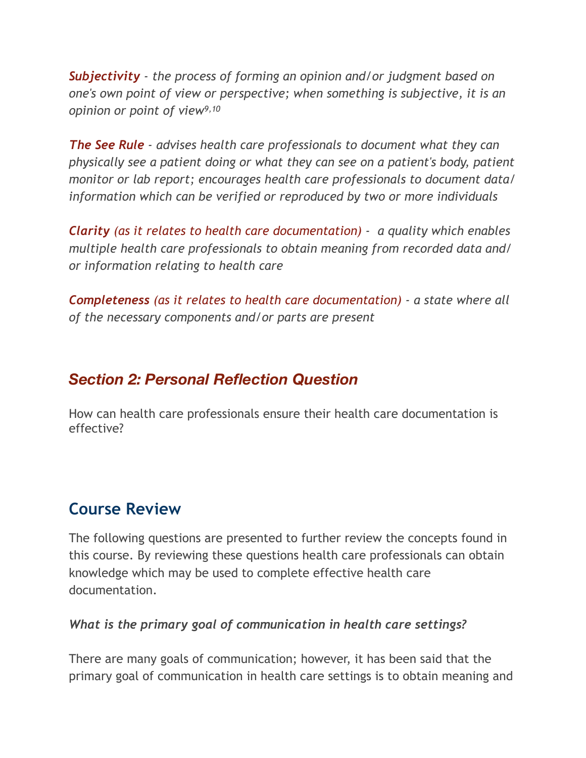*Subjectivity - the process of forming an opinion and/or judgment based on one's own point of view or perspective; when something is subjective, it is an opinion or point of view9,10*

*The See Rule - advises health care professionals to document what they can physically see a patient doing or what they can see on a patient's body, patient monitor or lab report; encourages health care professionals to document data/ information which can be verified or reproduced by two or more individuals* 

*Clarity (as it relates to health care documentation) - a quality which enables multiple health care professionals to obtain meaning from recorded data and/ or information relating to health care* 

*Completeness (as it relates to health care documentation) - a state where all of the necessary components and/or parts are present* 

### *Section 2: Personal Reflection Question*

How can health care professionals ensure their health care documentation is effective?

### **Course Review**

The following questions are presented to further review the concepts found in this course. By reviewing these questions health care professionals can obtain knowledge which may be used to complete effective health care documentation.

#### *What is the primary goal of communication in health care settings?*

There are many goals of communication; however, it has been said that the primary goal of communication in health care settings is to obtain meaning and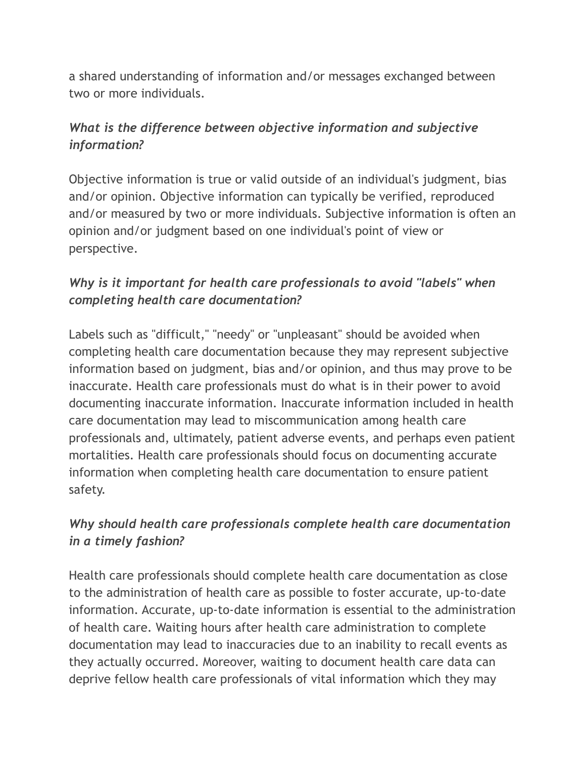a shared understanding of information and/or messages exchanged between two or more individuals.

#### *What is the difference between objective information and subjective information?*

Objective information is true or valid outside of an individual's judgment, bias and/or opinion. Objective information can typically be verified, reproduced and/or measured by two or more individuals. Subjective information is often an opinion and/or judgment based on one individual's point of view or perspective.

#### *Why is it important for health care professionals to avoid "labels" when completing health care documentation?*

Labels such as "difficult," "needy" or "unpleasant" should be avoided when completing health care documentation because they may represent subjective information based on judgment, bias and/or opinion, and thus may prove to be inaccurate. Health care professionals must do what is in their power to avoid documenting inaccurate information. Inaccurate information included in health care documentation may lead to miscommunication among health care professionals and, ultimately, patient adverse events, and perhaps even patient mortalities. Health care professionals should focus on documenting accurate information when completing health care documentation to ensure patient safety.

#### *Why should health care professionals complete health care documentation in a timely fashion?*

Health care professionals should complete health care documentation as close to the administration of health care as possible to foster accurate, up-to-date information. Accurate, up-to-date information is essential to the administration of health care. Waiting hours after health care administration to complete documentation may lead to inaccuracies due to an inability to recall events as they actually occurred. Moreover, waiting to document health care data can deprive fellow health care professionals of vital information which they may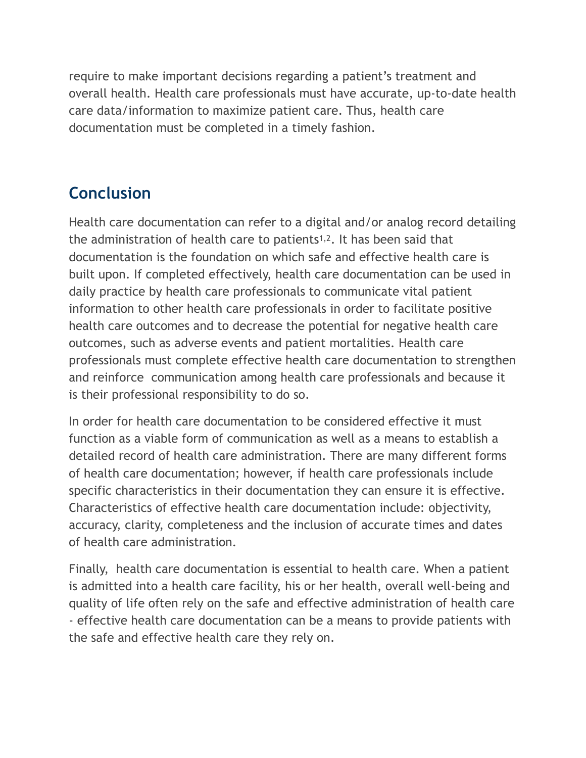require to make important decisions regarding a patient's treatment and overall health. Health care professionals must have accurate, up-to-date health care data/information to maximize patient care. Thus, health care documentation must be completed in a timely fashion.

# **Conclusion**

Health care documentation can refer to a digital and/or analog record detailing the administration of health care to patients<sup>1,2</sup>. It has been said that documentation is the foundation on which safe and effective health care is built upon. If completed effectively, health care documentation can be used in daily practice by health care professionals to communicate vital patient information to other health care professionals in order to facilitate positive health care outcomes and to decrease the potential for negative health care outcomes, such as adverse events and patient mortalities. Health care professionals must complete effective health care documentation to strengthen and reinforce communication among health care professionals and because it is their professional responsibility to do so.

In order for health care documentation to be considered effective it must function as a viable form of communication as well as a means to establish a detailed record of health care administration. There are many different forms of health care documentation; however, if health care professionals include specific characteristics in their documentation they can ensure it is effective. Characteristics of effective health care documentation include: objectivity, accuracy, clarity, completeness and the inclusion of accurate times and dates of health care administration.

Finally, health care documentation is essential to health care. When a patient is admitted into a health care facility, his or her health, overall well-being and quality of life often rely on the safe and effective administration of health care - effective health care documentation can be a means to provide patients with the safe and effective health care they rely on.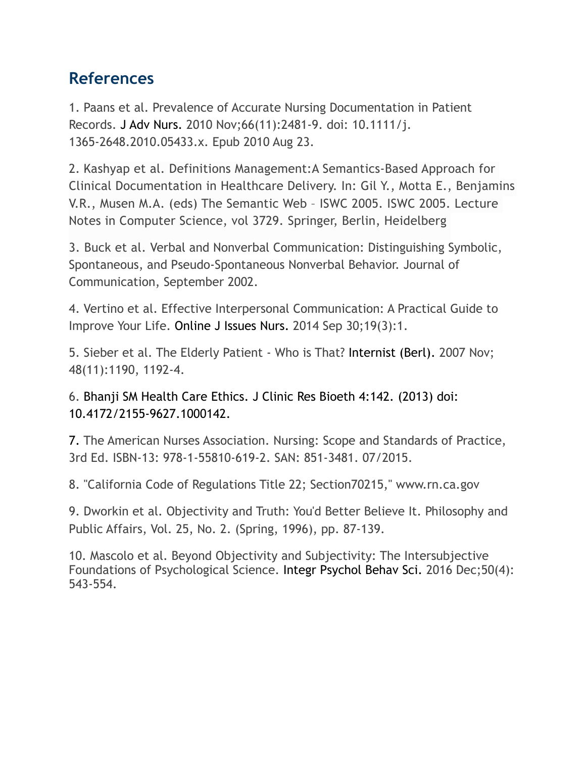## **References**

1. Paans et al. Prevalence of Accurate Nursing Documentation in Patient Records. [J Adv Nurs.](https://www.ncbi.nlm.nih.gov/pubmed/20735494) 2010 Nov;66(11):2481-9. doi: 10.1111/j. 1365-2648.2010.05433.x. Epub 2010 Aug 23.

2. Kashyap et al. Definitions Management:A Semantics-Based Approach for Clinical Documentation in Healthcare Delivery. In: Gil Y., Motta E., Benjamins V.R., Musen M.A. (eds) The Semantic Web – ISWC 2005. ISWC 2005. Lecture Notes in Computer Science, vol 3729. Springer, Berlin, Heidelberg

3. Buck et al. Verbal and Nonverbal Communication: Distinguishing Symbolic, Spontaneous, and Pseudo-Spontaneous Nonverbal Behavior. Journal of Communication, September 2002.

4. Vertino et al. Effective Interpersonal Communication: A Practical Guide to Improve Your Life. [Online J Issues Nurs.](https://www.ncbi.nlm.nih.gov/pubmed/26824149) 2014 Sep 30;19(3):1.

5. Sieber et al. The Elderly Patient - Who is That? [Internist \(Berl\).](https://www.ncbi.nlm.nih.gov/pubmed/17934704) 2007 Nov; 48(11):1190, 1192-4.

6. Bhanji SM Health Care Ethics. J Clinic Res Bioeth 4:142. (2013) doi: 10.4172/2155-9627.1000142.

7. The American Nurses Association. Nursing: Scope and Standards of Practice, 3rd Ed. ISBN-13: 978-1-55810-619-2. SAN: 851-3481. 07/2015.

8. "California Code of Regulations Title 22; Section70215," www.rn.ca.gov

9. Dworkin et al. Objectivity and Truth: You'd Better Believe It. Philosophy and Public Affairs, Vol. 25, No. 2. (Spring, 1996), pp. 87-139.

10. Mascolo et al. Beyond Objectivity and Subjectivity: The Intersubjective Foundations of Psychological Science. [Integr Psychol Behav Sci.](https://www.ncbi.nlm.nih.gov/pubmed/27469007) 2016 Dec;50(4): 543-554.